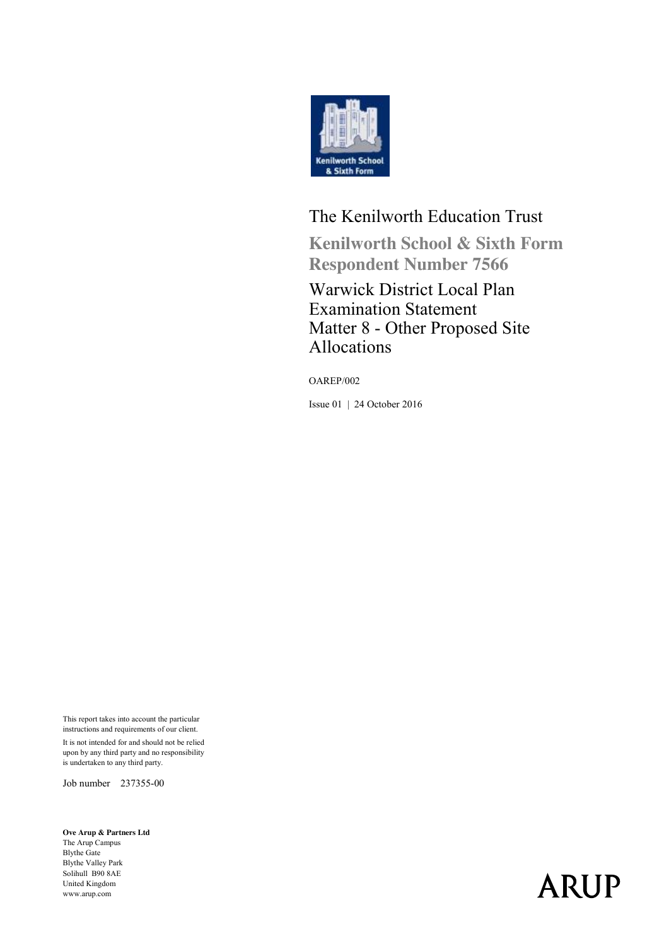

#### The Kenilworth Education Trust

**Kenilworth School & Sixth Form Respondent Number 7566**

#### Warwick District Local Plan Examination Statement Matter 8 - Other Proposed Site Allocations

OAREP/002

Issue 01 | 24 October 2016

This report takes into account the particular instructions and requirements of our client.

It is not intended for and should not be relied upon by any third party and no responsibility is undertaken to any third party.

Job number 237355-00

**Ove Arup & Partners Ltd** The Arup Campus Blythe Gate Blythe Valley Park Solihull B90 8AE United Kingdom www.arup.com

# **ARUP**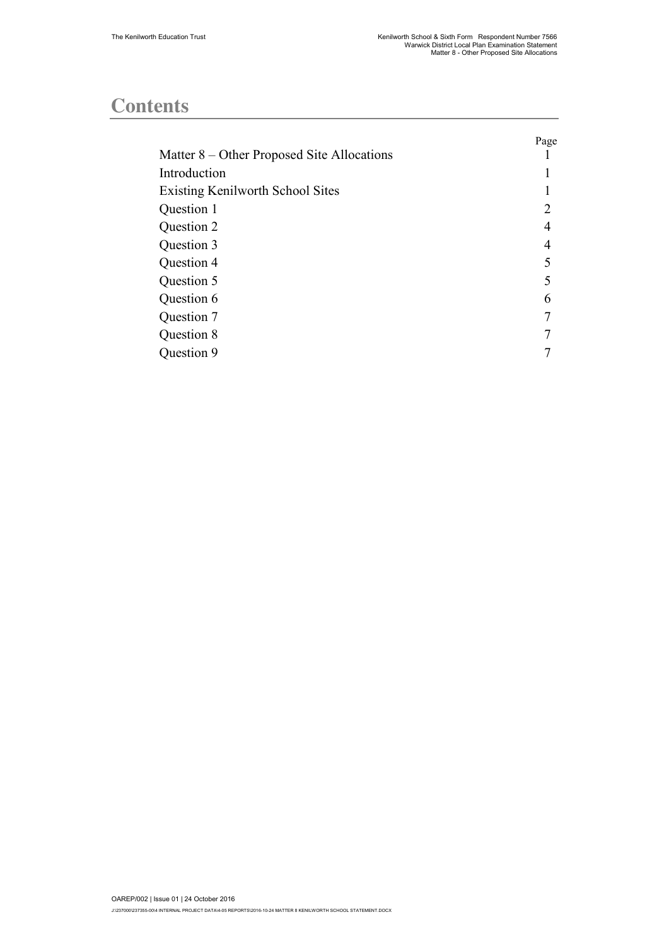#### **Contents**

|                                            | Page |
|--------------------------------------------|------|
| Matter 8 – Other Proposed Site Allocations |      |
| Introduction                               |      |
| Existing Kenilworth School Sites           |      |
| Question 1                                 | 2    |
| Question 2                                 | 4    |
| Question 3                                 | 4    |
| Question 4                                 | 5    |
| Question 5                                 | 5    |
| Question 6                                 | 6    |
| Question 7                                 |      |
| Question 8                                 |      |
| Question 9                                 |      |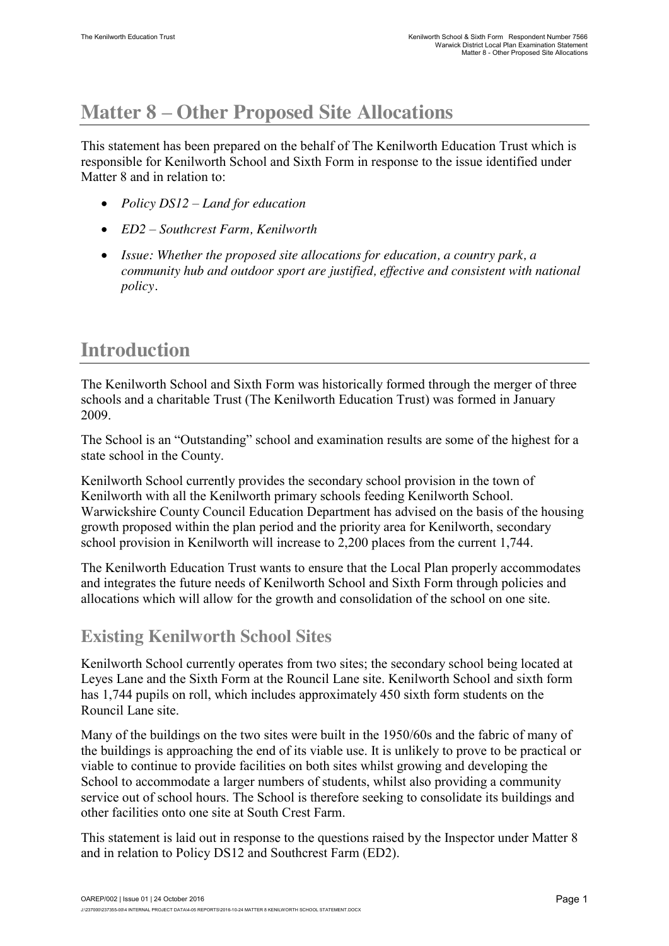### **Matter 8 – Other Proposed Site Allocations**

This statement has been prepared on the behalf of The Kenilworth Education Trust which is responsible for Kenilworth School and Sixth Form in response to the issue identified under Matter 8 and in relation to:

- x *Policy DS12 – Land for education*
- x *ED2 – Southcrest Farm, Kenilworth*
- x *Issue: Whether the proposed site allocations for education, a country park, a community hub and outdoor sport are justified, effective and consistent with national policy.*

#### **Introduction**

The Kenilworth School and Sixth Form was historically formed through the merger of three schools and a charitable Trust (The Kenilworth Education Trust) was formed in January 2009.

The School is an "Outstanding" school and examination results are some of the highest for a state school in the County.

Kenilworth School currently provides the secondary school provision in the town of Kenilworth with all the Kenilworth primary schools feeding Kenilworth School. Warwickshire County Council Education Department has advised on the basis of the housing growth proposed within the plan period and the priority area for Kenilworth, secondary school provision in Kenilworth will increase to 2,200 places from the current 1,744.

The Kenilworth Education Trust wants to ensure that the Local Plan properly accommodates and integrates the future needs of Kenilworth School and Sixth Form through policies and allocations which will allow for the growth and consolidation of the school on one site.

#### **Existing Kenilworth School Sites**

Kenilworth School currently operates from two sites; the secondary school being located at Leyes Lane and the Sixth Form at the Rouncil Lane site. Kenilworth School and sixth form has 1,744 pupils on roll, which includes approximately 450 sixth form students on the Rouncil Lane site.

Many of the buildings on the two sites were built in the 1950/60s and the fabric of many of the buildings is approaching the end of its viable use. It is unlikely to prove to be practical or viable to continue to provide facilities on both sites whilst growing and developing the School to accommodate a larger numbers of students, whilst also providing a community service out of school hours. The School is therefore seeking to consolidate its buildings and other facilities onto one site at South Crest Farm.

This statement is laid out in response to the questions raised by the Inspector under Matter 8 and in relation to Policy DS12 and Southcrest Farm (ED2).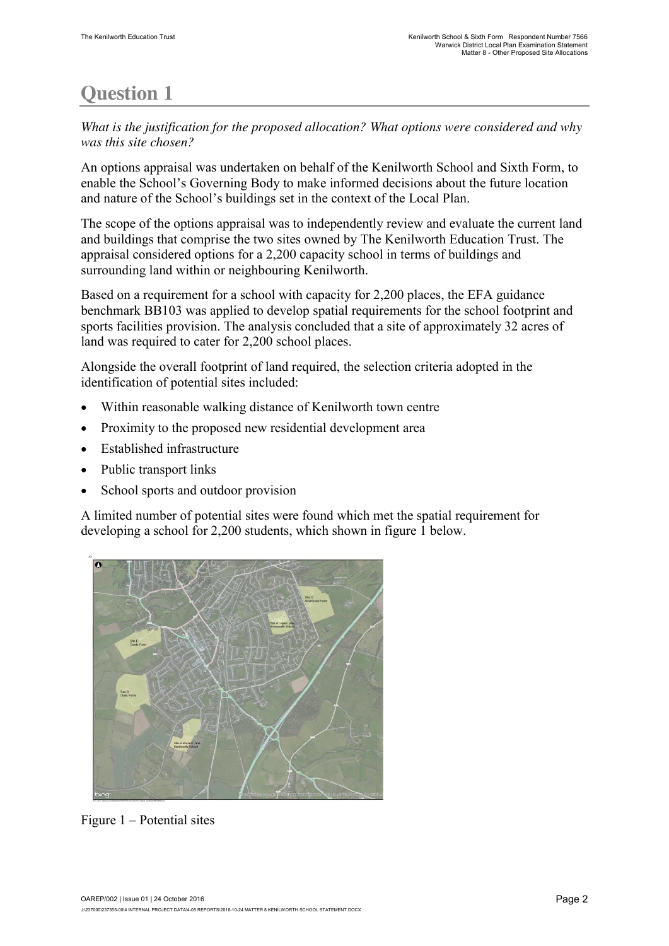# **Question 1**

*What is the justification for the proposed allocation? What options were considered and why was this site chosen?*

An options appraisal was undertaken on behalf of the Kenilworth School and Sixth Form, to enable the School's Governing Body to make informed decisions about the future location and nature of the School's buildings set in the context of the Local Plan.

The scope of the options appraisal was to independently review and evaluate the current land and buildings that comprise the two sites owned by The Kenilworth Education Trust. The appraisal considered options for a 2,200 capacity school in terms of buildings and surrounding land within or neighbouring Kenilworth.

Based on a requirement for a school with capacity for 2,200 places, the EFA guidance benchmark BB103 was applied to develop spatial requirements for the school footprint and sports facilities provision. The analysis concluded that a site of approximately 32 acres of land was required to cater for 2,200 school places.

Alongside the overall footprint of land required, the selection criteria adopted in the identification of potential sites included:

- Within reasonable walking distance of Kenilworth town centre
- $\bullet$  Proximity to the proposed new residential development area
- Established infrastructure
- Public transport links
- School sports and outdoor provision

A limited number of potential sites were found which met the spatial requirement for developing a school for 2,200 students, which shown in figure 1 below.



Figure 1 – Potential sites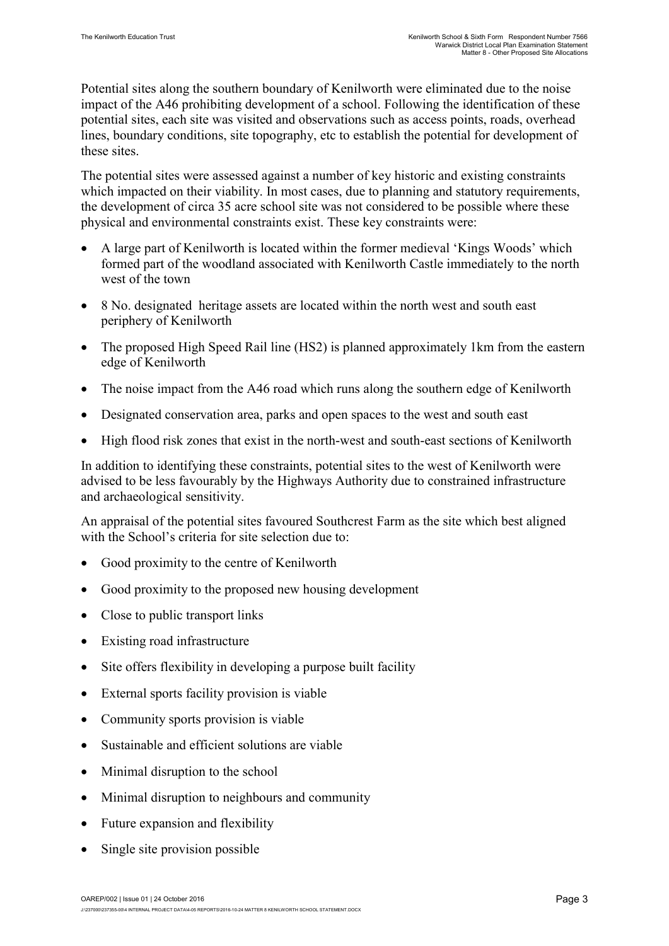Potential sites along the southern boundary of Kenilworth were eliminated due to the noise impact of the A46 prohibiting development of a school. Following the identification of these potential sites, each site was visited and observations such as access points, roads, overhead lines, boundary conditions, site topography, etc to establish the potential for development of these sites.

The potential sites were assessed against a number of key historic and existing constraints which impacted on their viability. In most cases, due to planning and statutory requirements, the development of circa 35 acre school site was not considered to be possible where these physical and environmental constraints exist. These key constraints were:

- x A large part of Kenilworth is located within the former medieval 'Kings Woods' which formed part of the woodland associated with Kenilworth Castle immediately to the north west of the town
- x 8 No. designated heritage assets are located within the north west and south east periphery of Kenilworth
- The proposed High Speed Rail line (HS2) is planned approximately 1km from the eastern edge of Kenilworth
- The noise impact from the A46 road which runs along the southern edge of Kenilworth
- Designated conservation area, parks and open spaces to the west and south east
- High flood risk zones that exist in the north-west and south-east sections of Kenilworth

In addition to identifying these constraints, potential sites to the west of Kenilworth were advised to be less favourably by the Highways Authority due to constrained infrastructure and archaeological sensitivity.

An appraisal of the potential sites favoured Southcrest Farm as the site which best aligned with the School's criteria for site selection due to:

- Good proximity to the centre of Kenilworth
- Good proximity to the proposed new housing development
- Close to public transport links
- Existing road infrastructure
- $\bullet$  Site offers flexibility in developing a purpose built facility
- External sports facility provision is viable
- Community sports provision is viable
- Sustainable and efficient solutions are viable
- $\bullet$  Minimal disruption to the school
- Minimal disruption to neighbours and community
- Future expansion and flexibility
- Single site provision possible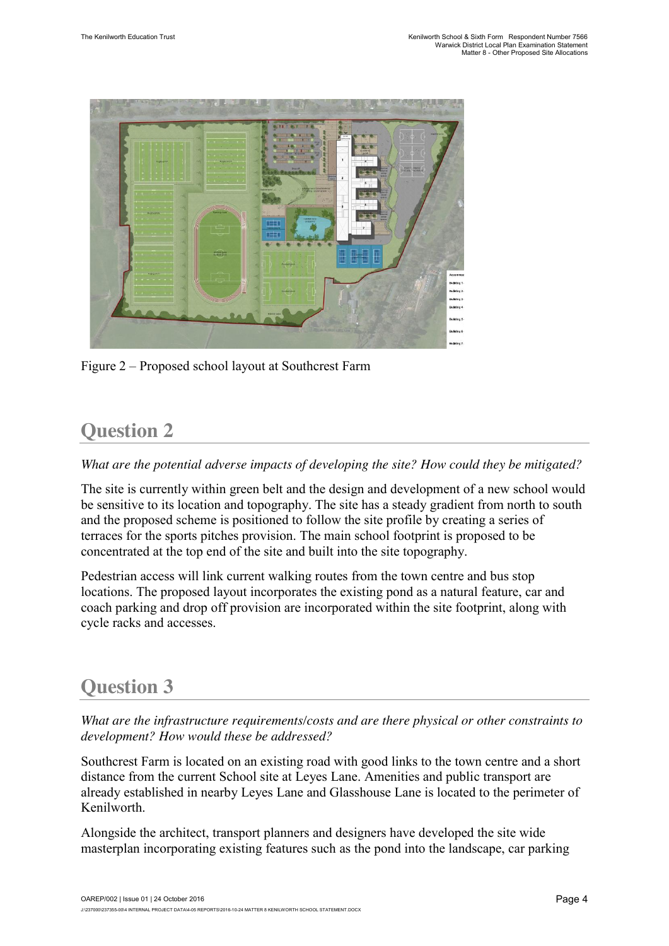

Figure 2 – Proposed school layout at Southcrest Farm

#### **Question 2**

*What are the potential adverse impacts of developing the site? How could they be mitigated?*

The site is currently within green belt and the design and development of a new school would be sensitive to its location and topography. The site has a steady gradient from north to south and the proposed scheme is positioned to follow the site profile by creating a series of terraces for the sports pitches provision. The main school footprint is proposed to be concentrated at the top end of the site and built into the site topography.

Pedestrian access will link current walking routes from the town centre and bus stop locations. The proposed layout incorporates the existing pond as a natural feature, car and coach parking and drop off provision are incorporated within the site footprint, along with cycle racks and accesses.

#### **Question 3**

*What are the infrastructure requirements/costs and are there physical or other constraints to development? How would these be addressed?*

Southcrest Farm is located on an existing road with good links to the town centre and a short distance from the current School site at Leyes Lane. Amenities and public transport are already established in nearby Leyes Lane and Glasshouse Lane is located to the perimeter of Kenilworth.

Alongside the architect, transport planners and designers have developed the site wide masterplan incorporating existing features such as the pond into the landscape, car parking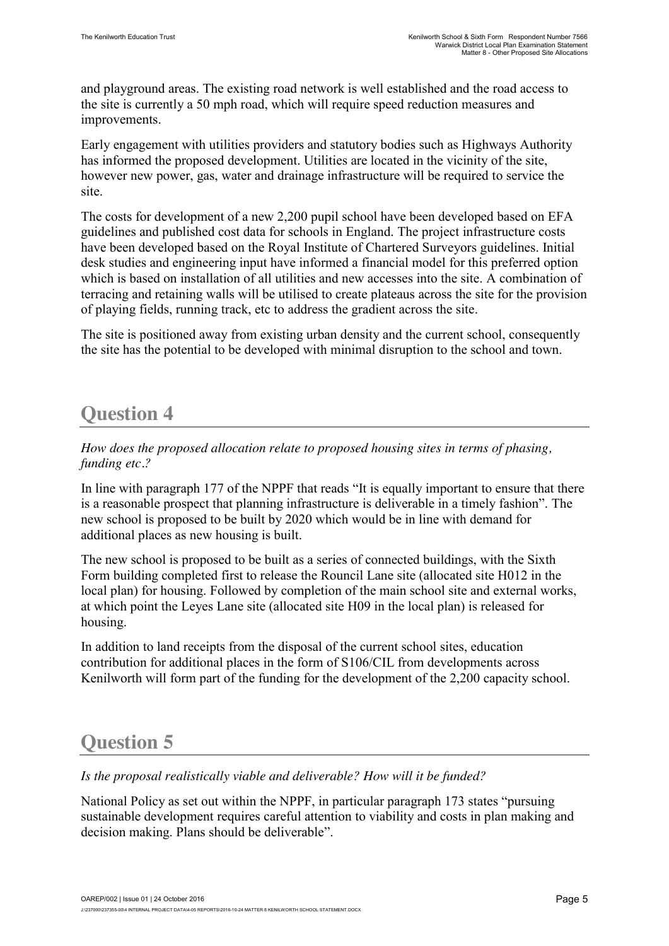and playground areas. The existing road network is well established and the road access to the site is currently a 50 mph road, which will require speed reduction measures and improvements.

Early engagement with utilities providers and statutory bodies such as Highways Authority has informed the proposed development. Utilities are located in the vicinity of the site, however new power, gas, water and drainage infrastructure will be required to service the site.

The costs for development of a new 2,200 pupil school have been developed based on EFA guidelines and published cost data for schools in England. The project infrastructure costs have been developed based on the Royal Institute of Chartered Surveyors guidelines. Initial desk studies and engineering input have informed a financial model for this preferred option which is based on installation of all utilities and new accesses into the site. A combination of terracing and retaining walls will be utilised to create plateaus across the site for the provision of playing fields, running track, etc to address the gradient across the site.

The site is positioned away from existing urban density and the current school, consequently the site has the potential to be developed with minimal disruption to the school and town.

#### **Question 4**

*How does the proposed allocation relate to proposed housing sites in terms of phasing, funding etc.?*

In line with paragraph 177 of the NPPF that reads "It is equally important to ensure that there is a reasonable prospect that planning infrastructure is deliverable in a timely fashion". The new school is proposed to be built by 2020 which would be in line with demand for additional places as new housing is built.

The new school is proposed to be built as a series of connected buildings, with the Sixth Form building completed first to release the Rouncil Lane site (allocated site H012 in the local plan) for housing. Followed by completion of the main school site and external works, at which point the Leyes Lane site (allocated site H09 in the local plan) is released for housing.

In addition to land receipts from the disposal of the current school sites, education contribution for additional places in the form of S106/CIL from developments across Kenilworth will form part of the funding for the development of the 2,200 capacity school.

#### **Question 5**

*Is the proposal realistically viable and deliverable? How will it be funded?*

National Policy as set out within the NPPF, in particular paragraph 173 states "pursuing sustainable development requires careful attention to viability and costs in plan making and decision making. Plans should be deliverable".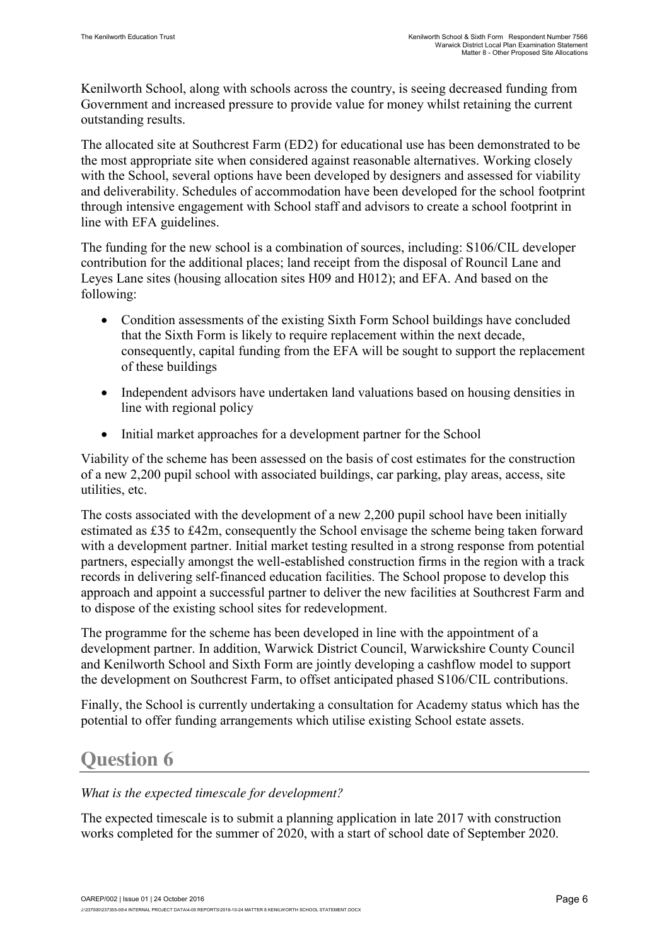Kenilworth School, along with schools across the country, is seeing decreased funding from Government and increased pressure to provide value for money whilst retaining the current outstanding results.

The allocated site at Southcrest Farm (ED2) for educational use has been demonstrated to be the most appropriate site when considered against reasonable alternatives. Working closely with the School, several options have been developed by designers and assessed for viability and deliverability. Schedules of accommodation have been developed for the school footprint through intensive engagement with School staff and advisors to create a school footprint in line with EFA guidelines.

The funding for the new school is a combination of sources, including: S106/CIL developer contribution for the additional places; land receipt from the disposal of Rouncil Lane and Leyes Lane sites (housing allocation sites H09 and H012); and EFA. And based on the following:

- Condition assessments of the existing Sixth Form School buildings have concluded that the Sixth Form is likely to require replacement within the next decade, consequently, capital funding from the EFA will be sought to support the replacement of these buildings
- Independent advisors have undertaken land valuations based on housing densities in line with regional policy
- Initial market approaches for a development partner for the School

Viability of the scheme has been assessed on the basis of cost estimates for the construction of a new 2,200 pupil school with associated buildings, car parking, play areas, access, site utilities, etc.

The costs associated with the development of a new 2,200 pupil school have been initially estimated as £35 to £42m, consequently the School envisage the scheme being taken forward with a development partner. Initial market testing resulted in a strong response from potential partners, especially amongst the well-established construction firms in the region with a track records in delivering self-financed education facilities. The School propose to develop this approach and appoint a successful partner to deliver the new facilities at Southcrest Farm and to dispose of the existing school sites for redevelopment.

The programme for the scheme has been developed in line with the appointment of a development partner. In addition, Warwick District Council, Warwickshire County Council and Kenilworth School and Sixth Form are jointly developing a cashflow model to support the development on Southcrest Farm, to offset anticipated phased S106/CIL contributions.

Finally, the School is currently undertaking a consultation for Academy status which has the potential to offer funding arrangements which utilise existing School estate assets.

#### **Question 6**

#### *What is the expected timescale for development?*

The expected timescale is to submit a planning application in late 2017 with construction works completed for the summer of 2020, with a start of school date of September 2020.